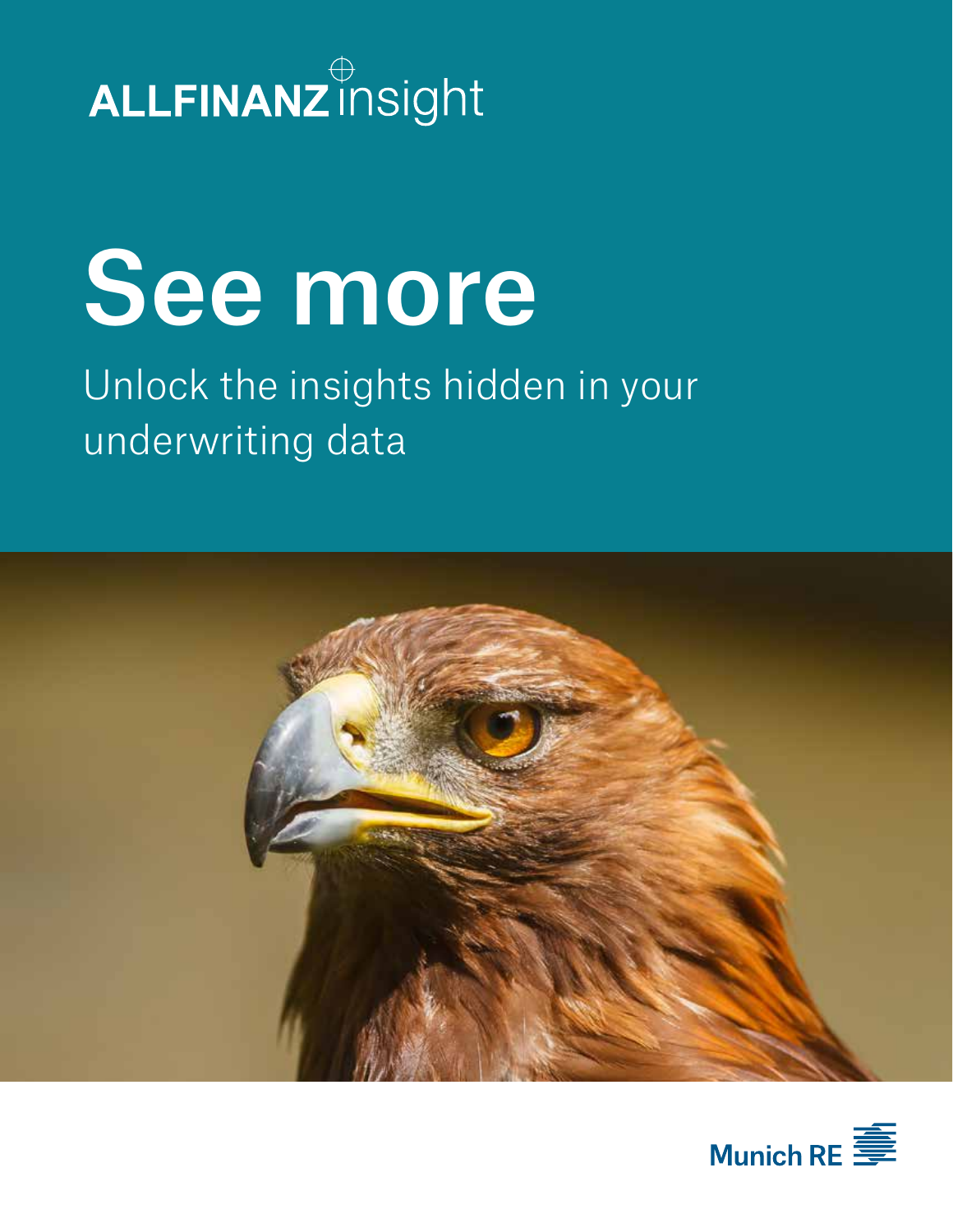# ALLFINANZ insight

# See more

# Unlock the insights hidden in your underwriting data



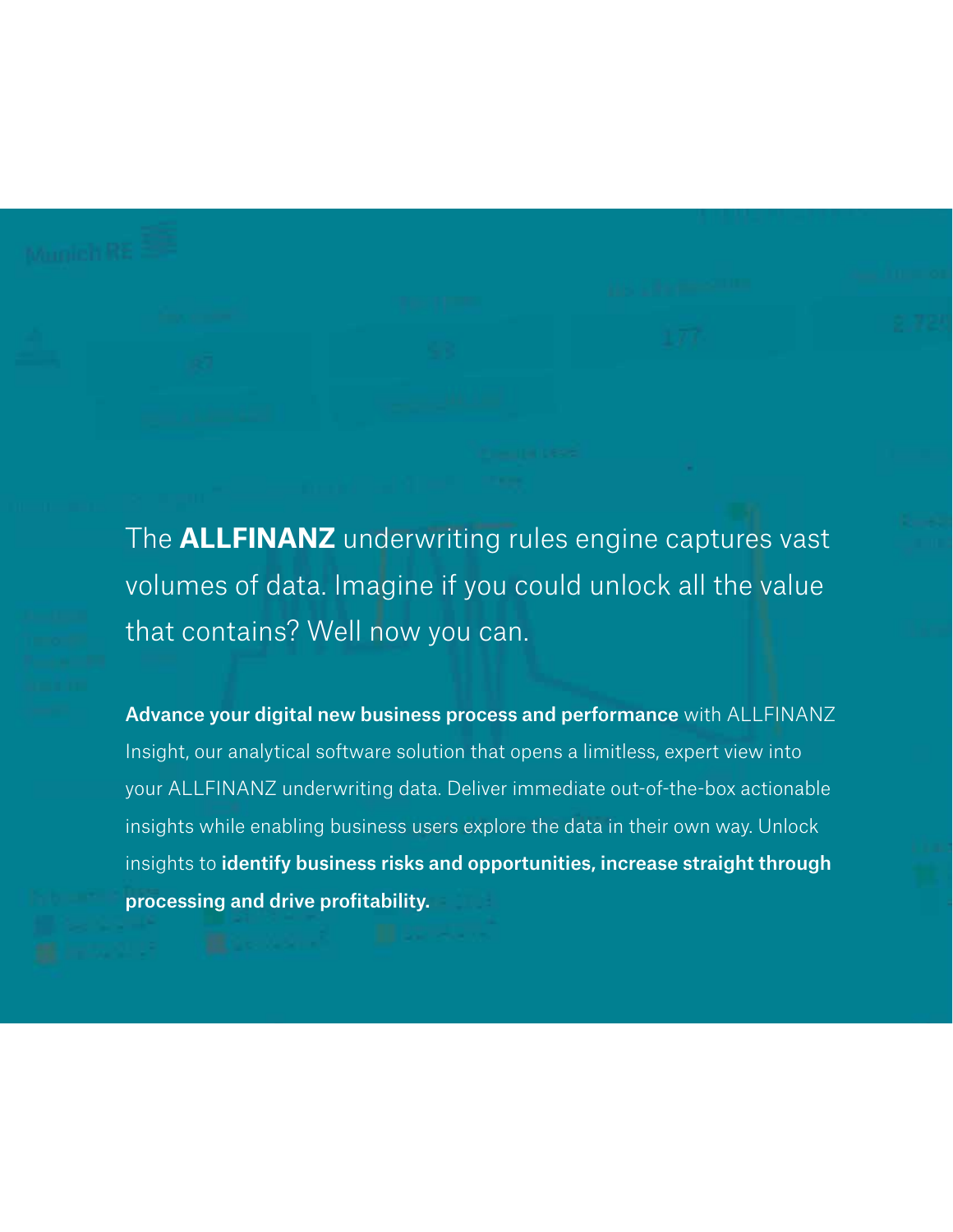The **ALLFINANZ** underwriting rules engine captures vast volumes of data. Imagine if you could unlock all the value that contains? Well now you can.

Advance your digital new business process and performance with ALLFINANZ Insight, our analytical software solution that opens a limitless, expert view into your ALLFINANZ underwriting data. Deliver immediate out-of-the-box actionable insights while enabling business users explore the data in their own way. Unlock insights to identify business risks and opportunities, increase straight through processing and drive profitability.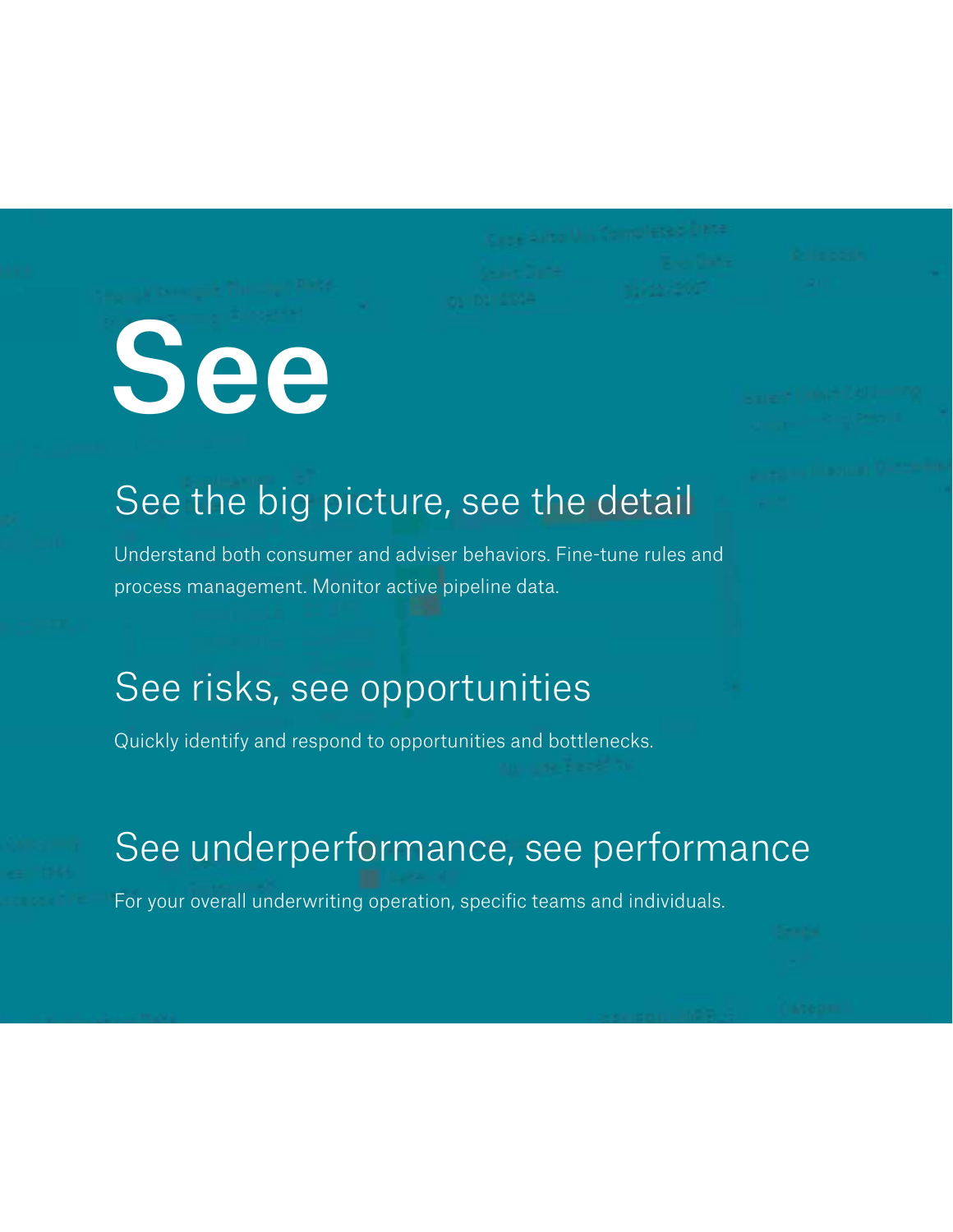# See the big picture, see the detail

Understand both consumer and adviser behaviors. Fine-tune rules and process management. Monitor active pipeline data.

## See risks, see opportunities

See

Quickly identify and respond to opportunities and bottlenecks.

# See underperformance, see performance

For your overall underwriting operation, specific teams and individuals.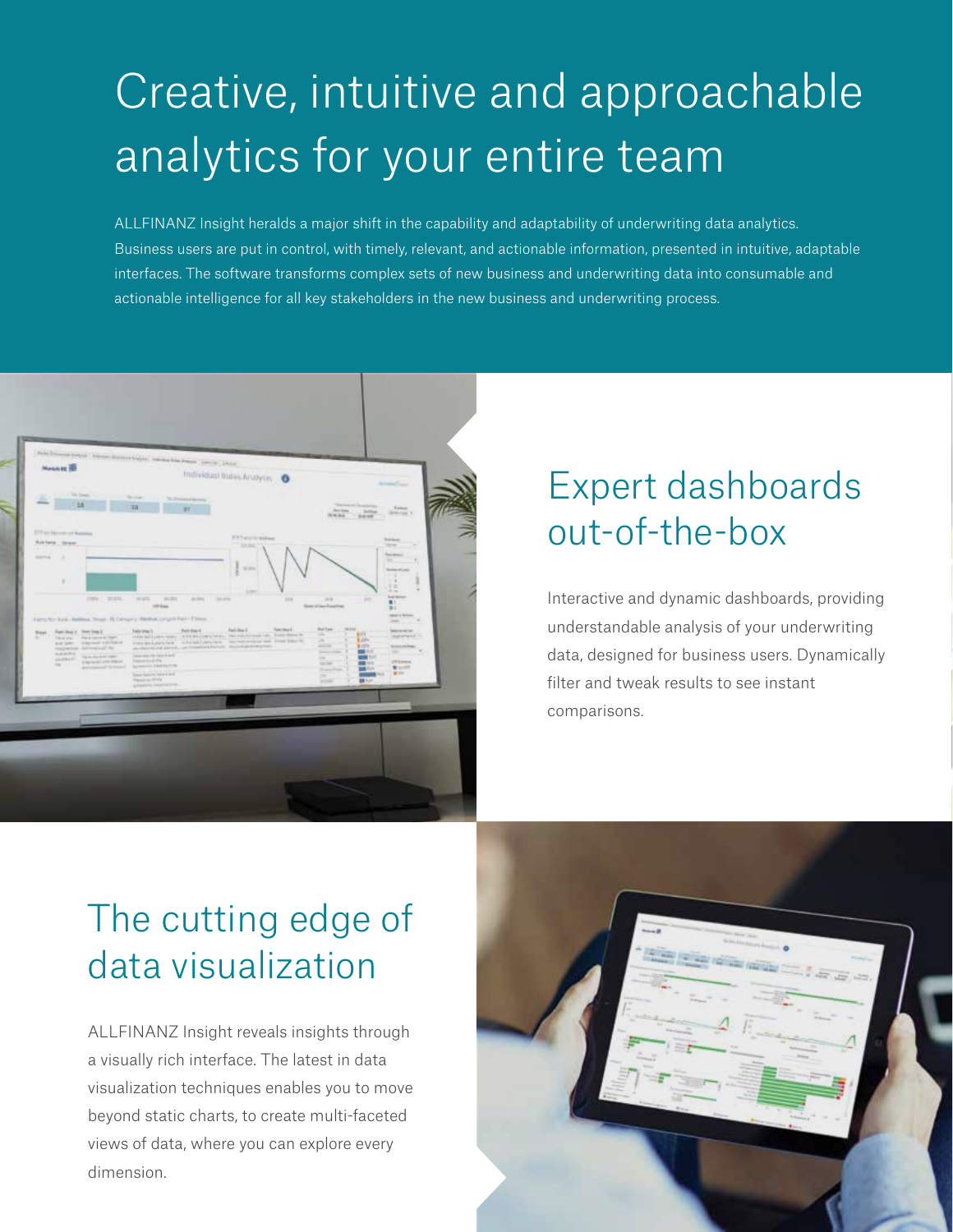# Creative, intuitive and approachable analytics for your entire team

ALLFINANZ Insight heralds a major shift in the capability and adaptability of underwriting data analytics. Business users are put in control, with timely, relevant, and actionable information, presented in intuitive, adaptable interfaces. The software transforms complex sets of new business and underwriting data into consumable and actionable intelligence for all key stakeholders in the new business and underwriting process.



# Expert dashboards out-of-the-box

Interactive and dynamic dashboards, providing understandable analysis of your underwriting data, designed for business users. Dynamically filter and tweak results to see instant comparisons.

# The cutting edge of data visualization

ALLFINANZ Insight reveals insights through a visually rich interface. The latest in data visualization techniques enables you to move beyond static charts, to create multi-faceted views of data, where you can explore every dimension.

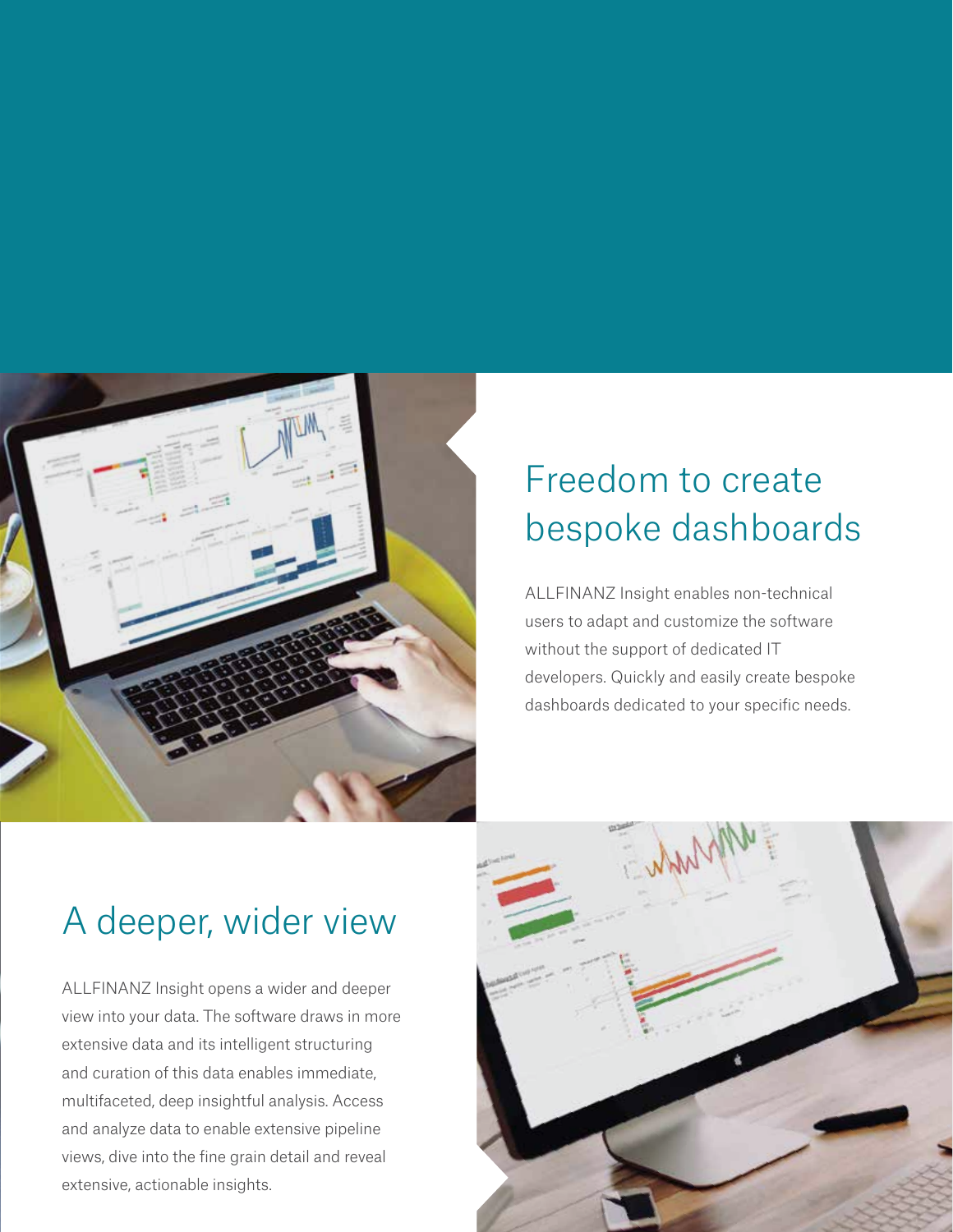

# Freedom to create bespoke dashboards

ALLFINANZ Insight enables non-technical users to adapt and customize the software without the support of dedicated IT developers. Quickly and easily create bespoke dashboards dedicated to your specific needs.

# A deeper, wider view

ALLFINANZ Insight opens a wider and deeper view into your data. The software draws in more extensive data and its intelligent structuring and curation of this data enables immediate, multifaceted, deep insightful analysis. Access and analyze data to enable extensive pipeline views, dive into the fine grain detail and reveal extensive, actionable insights.

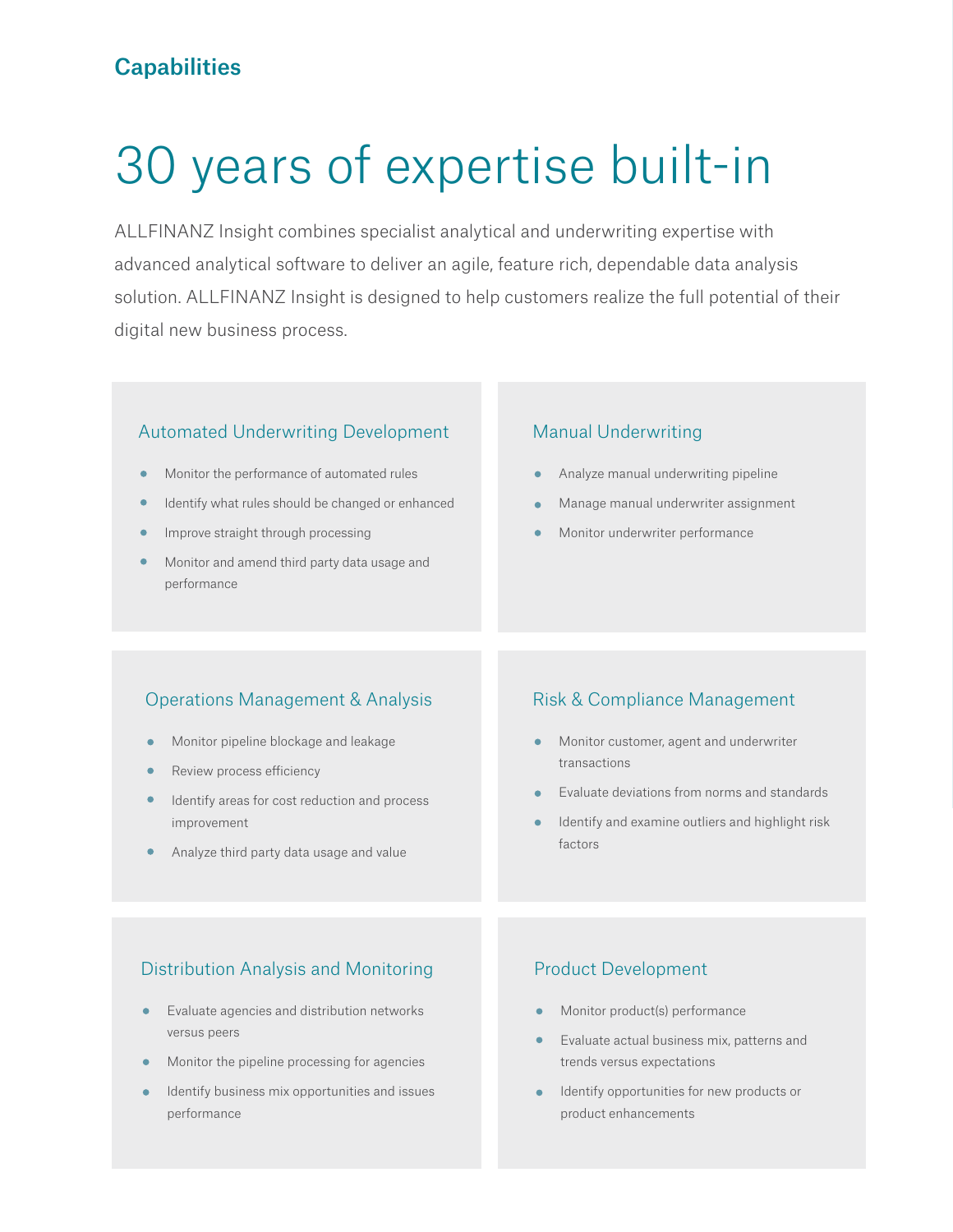#### **Capabilities**

# 30 years of expertise built-in

ALLFINANZ Insight combines specialist analytical and underwriting expertise with advanced analytical software to deliver an agile, feature rich, dependable data analysis solution. ALLFINANZ Insight is designed to help customers realize the full potential of their digital new business process.

#### Automated Underwriting Development

- Monitor the performance of automated rules
- Identify what rules should be changed or enhanced
- Improve straight through processing
- Monitor and amend third party data usage and performance

#### Manual Underwriting

- Analyze manual underwriting pipeline
- Manage manual underwriter assignment
- Monitor underwriter performance

#### Operations Management & Analysis

- Monitor pipeline blockage and leakage
- Review process efficiency
- Identify areas for cost reduction and process improvement
- Analyze third party data usage and value

#### Risk & Compliance Management

- **•** Monitor customer, agent and underwriter transactions
- Evaluate deviations from norms and standards
- Identify and examine outliers and highlight risk factors

#### Distribution Analysis and Monitoring

- Evaluate agencies and distribution networks  $\bullet$ versus peers
- Monitor the pipeline processing for agencies  $\bullet$
- Identify business mix opportunities and issues performance

#### Product Development

- Monitor product(s) performance
- Evaluate actual business mix, patterns and trends versus expectations
- Identify opportunities for new products or product enhancements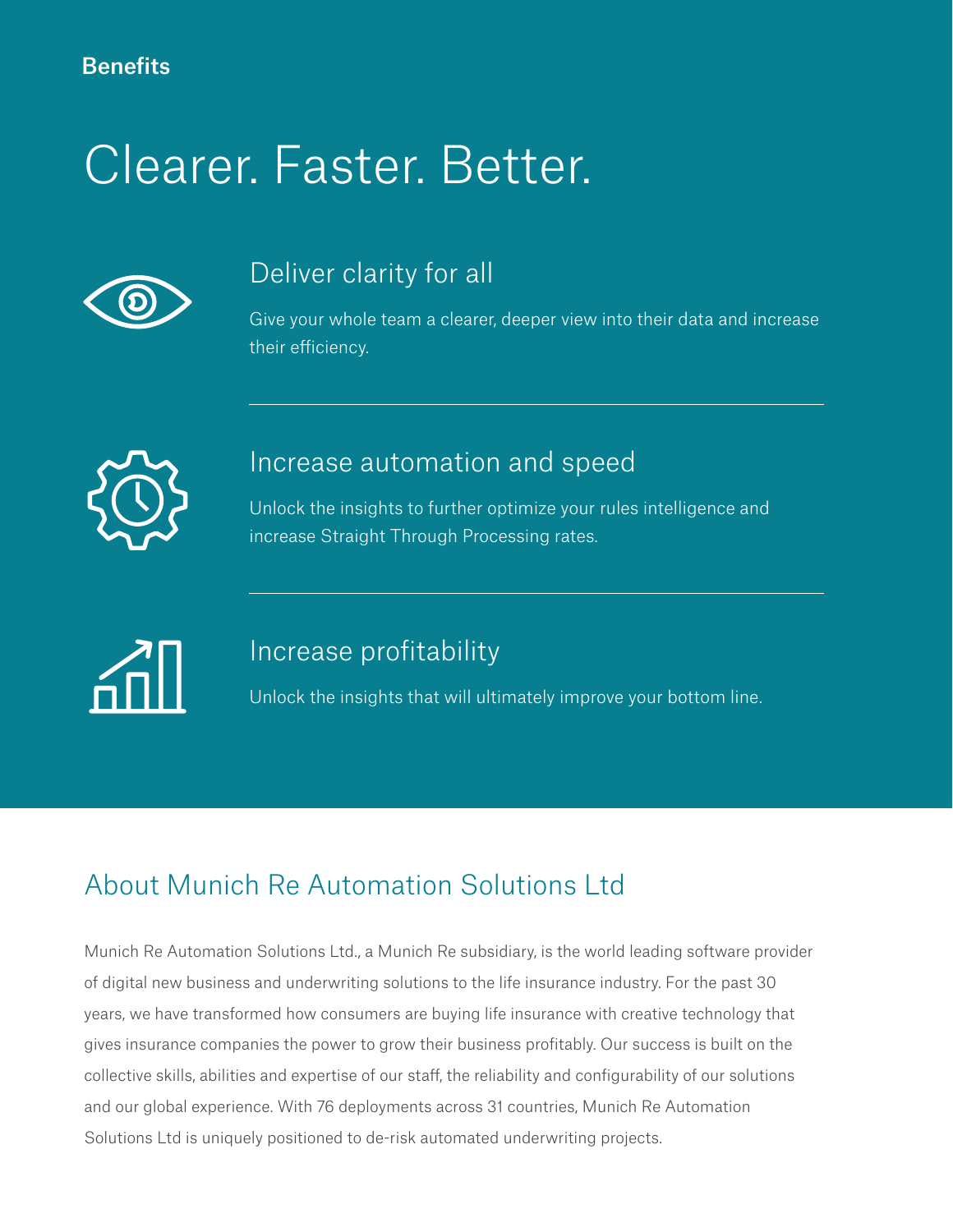# Clearer. Faster. Better.



### Deliver clarity for all

Give your whole team a clearer, deeper view into their data and increase their efficiency.



### Increase automation and speed

Unlock the insights to further optimize your rules intelligence and increase Straight Through Processing rates.



### Increase profitability

Unlock the insights that will ultimately improve your bottom line.

### About Munich Re Automation Solutions Ltd

Munich Re Automation Solutions Ltd., a Munich Re subsidiary, is the world leading software provider of digital new business and underwriting solutions to the life insurance industry. For the past 30 years, we have transformed how consumers are buying life insurance with creative technology that gives insurance companies the power to grow their business profitably. Our success is built on the collective skills, abilities and expertise of our staff, the reliability and configurability of our solutions and our global experience. With 76 deployments across 31 countries, Munich Re Automation Solutions Ltd is uniquely positioned to de-risk automated underwriting projects.